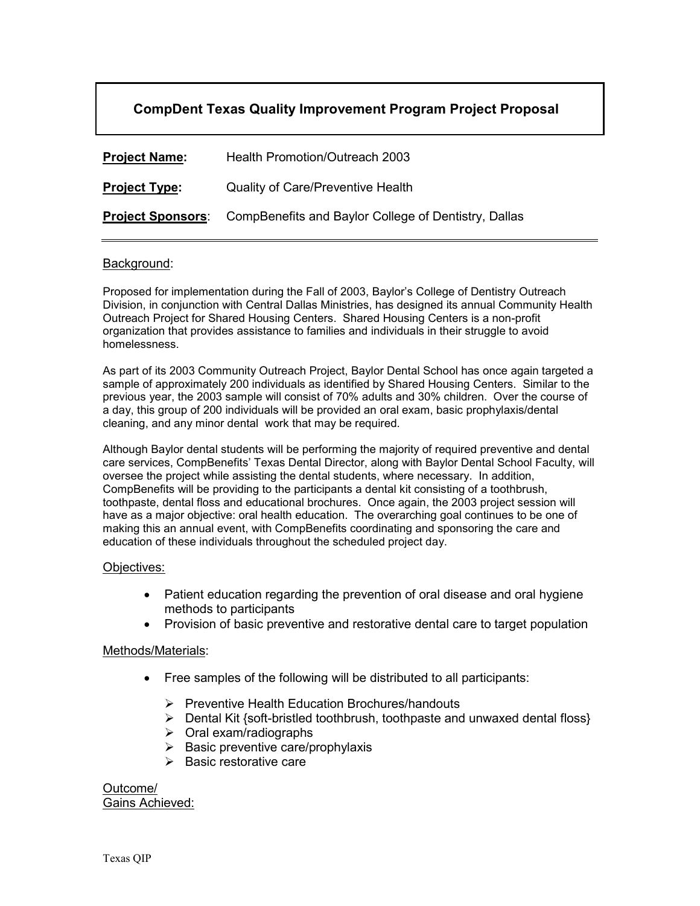## **CompDent Texas Quality Improvement Program Project Proposal**

| <b>Project Name:</b>     | Health Promotion/Outreach 2003                       |
|--------------------------|------------------------------------------------------|
| <b>Project Type:</b>     | <b>Quality of Care/Preventive Health</b>             |
| <b>Project Sponsors:</b> | CompBenefits and Baylor College of Dentistry, Dallas |

## Background:

Proposed for implementation during the Fall of 2003, Baylor's College of Dentistry Outreach Division, in conjunction with Central Dallas Ministries, has designed its annual Community Health Outreach Project for Shared Housing Centers. Shared Housing Centers is a non-profit organization that provides assistance to families and individuals in their struggle to avoid homelessness.

As part of its 2003 Community Outreach Project, Baylor Dental School has once again targeted a sample of approximately 200 individuals as identified by Shared Housing Centers. Similar to the previous year, the 2003 sample will consist of 70% adults and 30% children. Over the course of a day, this group of 200 individuals will be provided an oral exam, basic prophylaxis/dental cleaning, and any minor dental work that may be required.

Although Baylor dental students will be performing the majority of required preventive and dental care services, CompBenefits' Texas Dental Director, along with Baylor Dental School Faculty, will oversee the project while assisting the dental students, where necessary. In addition, CompBenefits will be providing to the participants a dental kit consisting of a toothbrush, toothpaste, dental floss and educational brochures. Once again, the 2003 project session will have as a major objective: oral health education. The overarching goal continues to be one of making this an annual event, with CompBenefits coordinating and sponsoring the care and education of these individuals throughout the scheduled project day.

## Objectives:

- Patient education regarding the prevention of oral disease and oral hygiene methods to participants
- Provision of basic preventive and restorative dental care to target population

## Methods/Materials:

- Free samples of the following will be distributed to all participants:
	- $\triangleright$  Preventive Health Education Brochures/handouts
	- $\triangleright$  Dental Kit {soft-bristled toothbrush, toothpaste and unwaxed dental floss}
	- $\triangleright$  Oral exam/radiographs
	- $\triangleright$  Basic preventive care/prophylaxis
	- $\triangleright$  Basic restorative care

Outcome/ Gains Achieved: